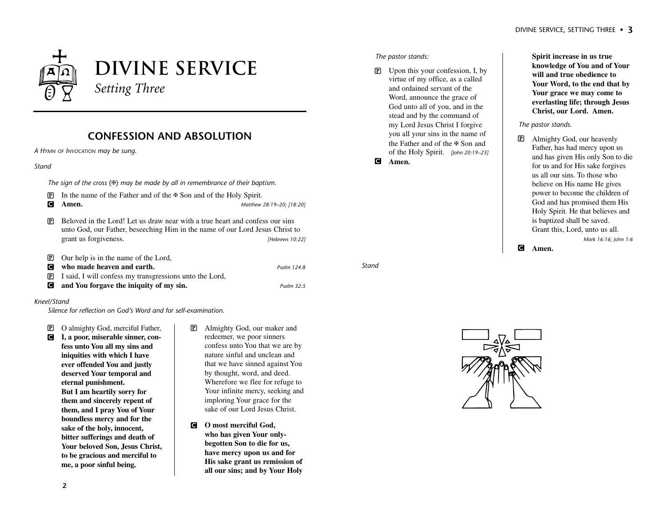# **Divine Service** *Setting Three*

# **CONFESSION AND ABSOLUTION**

*A HYMN OF INVOCATION may be sung.*

#### *Stand*

*The sign of the cross* (✠) *may be made by all in remembrance of their baptism.*

- P In the name of the Father and of the ✠ Son and of the Holy Spirit.
- 

C **Amen.** *Matthew 28:19–20; [18:20]*

- $\overline{P}$  Beloved in the Lord! Let us draw near with a true heart and confess our sins unto God, our Father, beseeching Him in the name of our Lord Jesus Christ to grant us forgiveness. *[Hebrews 10:22]*
- $\overline{P}$  Our help is in the name of the Lord, C **who made heaven and earth.** *Psalm 124:8*
- P I said, I will confess my transgressions unto the Lord,
- C **and You forgave the iniquity of my sin.** *Psalm 32:5*

#### *Kneel/Stand*

*Silence for reflection on God's Word and for self-examination.*

P O almighty God, merciful Father, C **I, a poor, miserable sinner, con-**

**fess unto You all my sins and iniquities with which I have ever offended You and justly deserved Your temporal and eternal punishment. But I am heartily sorry for them and sincerely repent of them, and I pray You of Your boundless mercy and for the sake of the holy, innocent, bitter sufferings and death of Your beloved Son, Jesus Christ, to be gracious and merciful to me, a poor sinful being.**

- P Almighty God, our maker and redeemer, we poor sinners confess unto You that we are by nature sinful and unclean and that we have sinned against You by thought, word, and deed. Wherefore we flee for refuge to Your infinite mercy, seeking and imploring Your grace for the sake of our Lord Jesus Christ.
- C **O most merciful God, who has given Your onlybegotten Son to die for us, have mercy upon us and for His sake grant us remission of all our sins; and by Your Holy**

#### *The pastor stands:*

*Stand*

 $\overline{P}$  Upon this your confession, I, by virtue of my office, as a called and ordained servant of the Word, announce the grace of God unto all of you, and in the stead and by the command of my Lord Jesus Christ I forgive you all your sins in the name of the Father and of the ✠ Son and of the Holy Spirit. *[John 20:19–23]* C **Amen.**

**Spirit increase in us true knowledge of You and of Your will and true obedience to Your Word, to the end that by Your grace we may come to everlasting life; through Jesus Christ, our Lord. Amen.**

#### *The pastor stands.*

P Almighty God, our heavenly Father, has had mercy upon us and has given His only Son to die for us and for His sake forgives us all our sins. To those who believe on His name He gives power to become the children of God and has promised them His Holy Spirit. He that believes and is baptized shall be saved. Grant this, Lord, unto us all. *Mark 16:16; John 1:6*

C **Amen.**

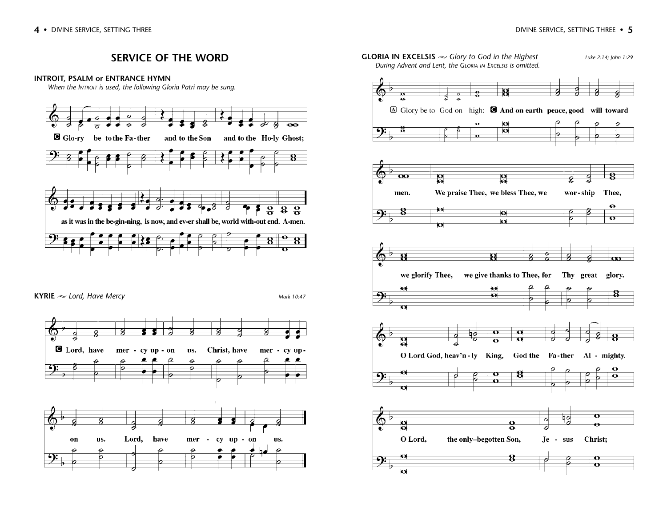wor-ship Thee,

Thy great glory.

 $\mathbf{o}$ 

 $\overline{\mathbf{o}}$ 

Christ;

 $\overline{\mathbf{o}}$  $\bullet$ 

hо

Je - sus

 $\ddot{\mathbf{e}}$ 

 $\mathbf{o}$ 

 $\omega$ 

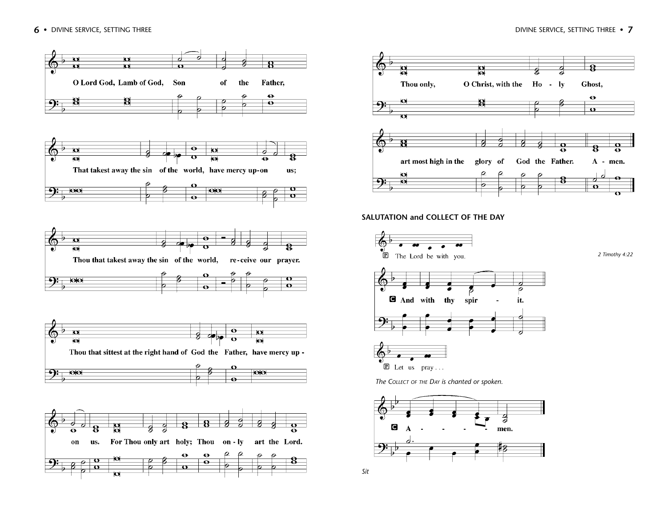



# **SALUTATION and COLLECT OF THE DAY**



*The COLLECT OF THE DAY is chanted or spoken.*

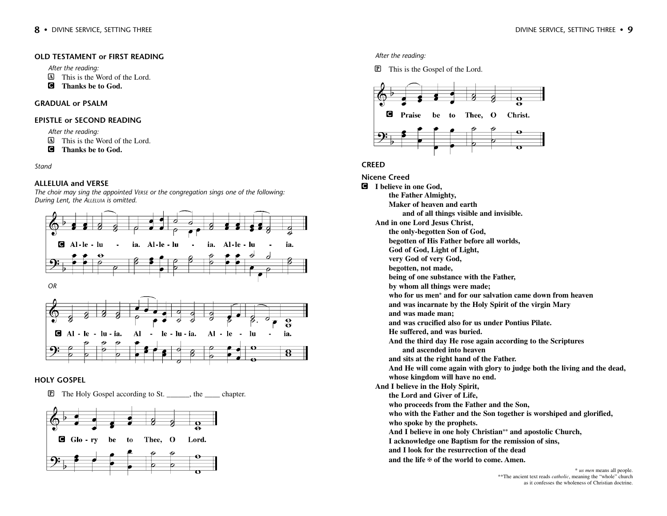*After the reading:*

- A This is the Word of the Lord.
- C **Thanks be to God.**

# **GRADUAL or PSALM**

# **EPISTLE or SECOND READING**

*After the reading:*

- A This is the Word of the Lord.
- C **Thanks be to God.**

*Stand*

# **ALLELUIA and VERSE**

*The choir may sing the appointed VERSE or the congregation sings one of the following: During Lent, the ALLELUIA is omitted.* 



# **HOLY GOSPEL**

**P** The Holy Gospel according to St. the chapter.



#### *After the reading:*

**P** This is the Gospel of the Lord.



# **CREED**

**Nicene Creed** C **I believe in one God, the Father Almighty, Maker of heaven and earth and of all things visible and invisible. And in one Lord Jesus Christ, the only-begotten Son of God, begotten of His Father before all worlds, God of God, Light of Light, very God of very God, begotten, not made, being of one substance with the Father, by whom all things were made; who for us men\* and for our salvation came down from heaven and was incarnate by the Holy Spirit of the virgin Mary and was made man; and was crucified also for us under Pontius Pilate. He suffered, and was buried. And the third day He rose again according to the Scriptures and ascended into heaven and sits at the right hand of the Father. And He will come again with glory to judge both the living and the dead, whose kingdom will have no end. And I believe in the Holy Spirit, the Lord and Giver of Life, who proceeds from the Father and the Son, who with the Father and the Son together is worshiped and glorified, who spoke by the prophets. And I believe in one holy Christian\*\* and apostolic Church, I acknowledge one Baptism for the remission of sins, and I look for the resurrection of the dead and the life** ✠ **of the world to come. Amen.**

\* *us men* means all people. \*\*The ancient text reads *catholic*, meaning the "whole" church as it confesses the wholeness of Christian doctrine.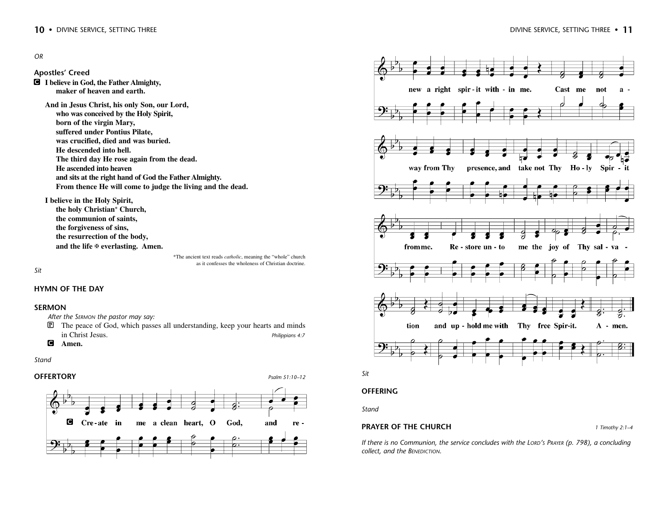#### *OR*

**Apostles' Creed**

C **I believe in God, the Father Almighty, maker of heaven and earth.**

**And in Jesus Christ, his only Son, our Lord, who was conceived by the Holy Spirit, born of the virgin Mary, suffered under Pontius Pilate, was crucified, died and was buried. He descended into hell. The third day He rose again from the dead. He ascended into heaven and sits at the right hand of God the Father Almighty. From thence He will come to judge the living and the dead.**

**I believe in the Holy Spirit,**

**the holy Christian\* Church, the communion of saints, the forgiveness of sins, the resurrection of the body, and the life** ✠ **everlasting. Amen.**

*Sit*

#### **HYMN OF THE DAY**

#### **SERMON**

*After the SERMON the pastor may say:*

- $\mathbb{\overline{P}}$  The peace of God, which passes all understanding, keep your hearts and minds in Christ Jesus. *Philippians 4:7*
- C **Amen.**

#### *Stand*

#### **OFFERTORY** *Psalm 51:10–12*



\*The ancient text reads *catholic*, meaning the "whole" church as it confesses the wholeness of Christian doctrine.





#### **OFFERING**

*Stand*

#### **PRAYER OF THE CHURCH** *1 Timothy 2:1–4*

*If there is no Communion, the service concludes with the LORD'S PRAYER (p. 798), a concluding collect, and the BENEDICTION.*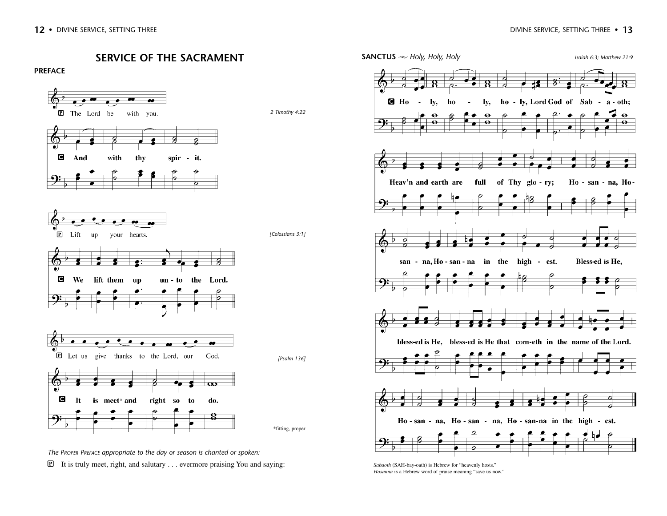**SERVICE OF THE SACRAMENT**





*The PROPER PREFACE appropriate to the day or season is chanted or spoken:*

 $\mathbb{P}$  It is truly meet, right, and salutary . . . evermore praising You and saying:



*Sabaoth* (SAH-bay-oath) is Hebrew for "heavenly hosts." *Hosanna* is a Hebrew word of praise meaning "save us now."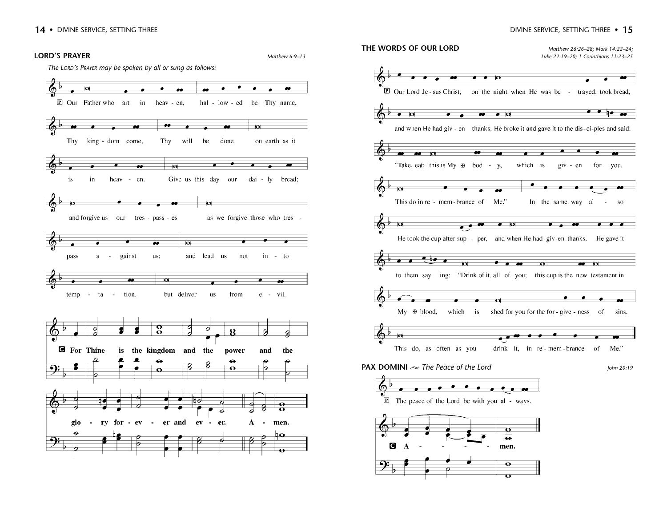#### DIVINE SERVICE, SETTING THREE • **15**



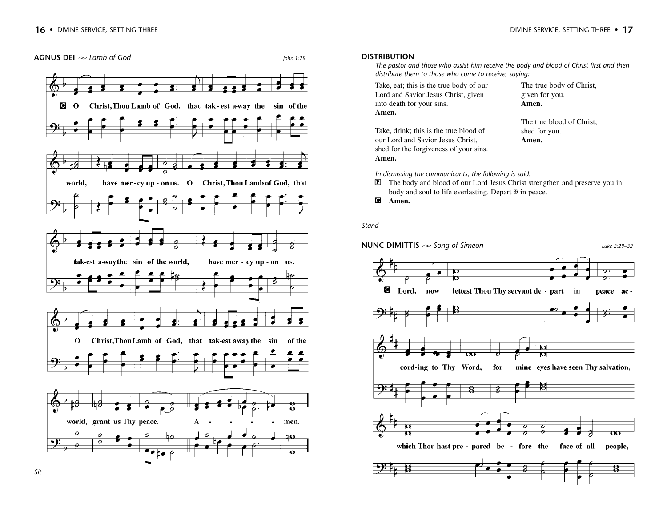

# The true body of Christ, given for you.

**Amen.** 

The true blood of Christ, shed for you. **Amen.**

*In dismissing the communicants, the following is said:*

P The body and blood of our Lord Jesus Christ strengthen and preserve you in body and soul to life everlasting. Depart ⊕ in peace.



 $Q$ Christ, Thou Lamb of God, that tak-est a-way the sin of the have mer-cy up - on us. O Christ, Thou Lamb of God, that world, tak-est a-way the sin of the world, have mer - cy up - on us. Christ, Thou Lamb of God, that tak-est away the sin  $\mathbf{O}$ of the world, grant us Thy peace. men. ю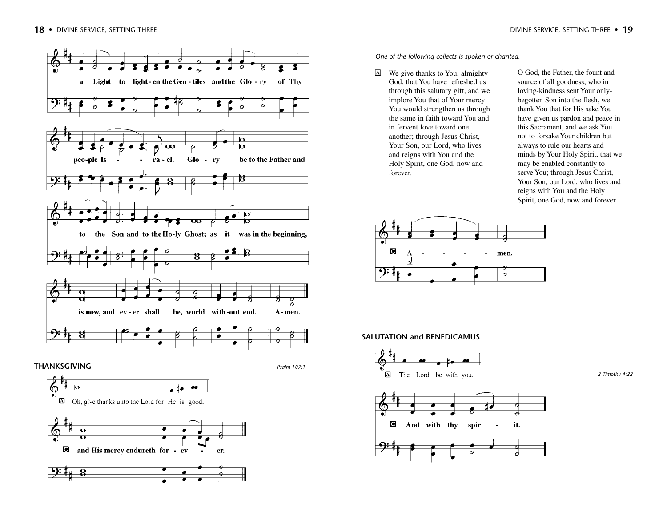



**A** Oh, give thanks unto the Lord for He is good,



*One of the following collects is spoken or chanted.*

A We give thanks to You, almighty God, that You have refreshed us through this salutary gift, and we implore You that of Your mercy You would strengthen us through the same in faith toward You and in fervent love toward one another; through Jesus Christ, Your Son, our Lord, who lives and reigns with You and the Holy Spirit, one God, now and forever.

O God, the Father, the fount and source of all goodness, who in loving-kindness sent Your onlybegotten Son into the flesh, we thank You that for His sake You have given us pardon and peace in this Sacrament, and we ask You not to forsake Your children but always to rule our hearts and minds by Your Holy Spirit, that we may be enabled constantly to serve You; through Jesus Christ, Your Son, our Lord, who lives and reigns with You and the Holy Spirit, one God, now and forever.



# **SALUTATION and BENEDICAMUS**



*2 Timothy 4:22*